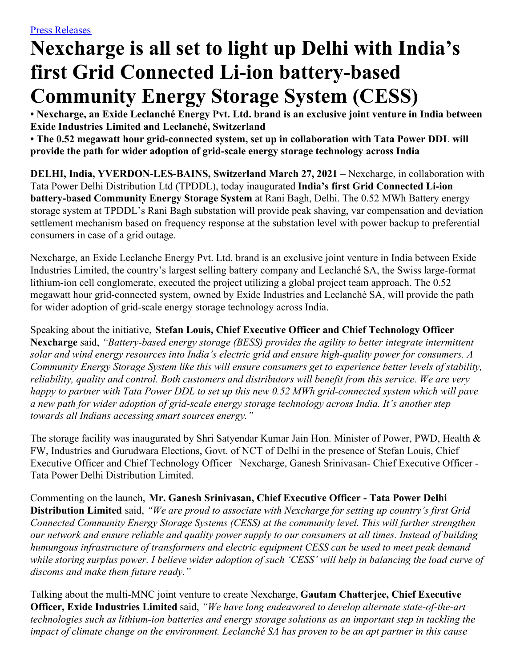# **Nexcharge is all set to light up Delhi with India's first Grid Connected Li-ion battery-based Community Energy Storage System (CESS)**

**• Nexcharge, an Exide Leclanché Energy Pvt. Ltd. brand is an exclusive joint venture in India between Exide Industries Limited and Leclanché, Switzerland**

**• The 0.52 megawatt hour grid-connected system, set up in collaboration with Tata Power DDL will provide the path for wider adoption of grid-scale energy storage technology across India**

**DELHI, India, YVERDON-LES-BAINS, Switzerland March 27, 2021** – Nexcharge, in collaboration with Tata Power Delhi Distribution Ltd (TPDDL), today inaugurated **India's first Grid Connected Li-ion battery-based Community Energy Storage System** at Rani Bagh, Delhi. The 0.52 MWh Battery energy storage system at TPDDL's Rani Bagh substation will provide peak shaving, var compensation and deviation settlement mechanism based on frequency response at the substation level with power backup to preferential consumers in case of a grid outage.

Nexcharge, an Exide Leclanche Energy Pvt. Ltd. brand is an exclusive joint venture in India between Exide Industries Limited, the country's largest selling battery company and Leclanché SA, the Swiss large-format lithium-ion cell conglomerate, executed the project utilizing a global project team approach. The 0.52 megawatt hour grid-connected system, owned by Exide Industries and Leclanché SA, will provide the path for wider adoption of grid-scale energy storage technology across India.

Speaking about the initiative, **Stefan Louis, Chief Executive Officer and Chief Technology Officer Nexcharge** said, *"Battery-based energy storage (BESS) provides the agility to better integrate intermittent solar and wind energy resources into India's electric grid and ensure high-quality power for consumers. A Community Energy Storage System like this will ensure consumers get to experience better levels of stability, reliability, quality and control. Both customers and distributors will benefit from this service. We are very* happy to partner with Tata Power DDL to set up this new 0.52 MWh grid-connected system which will pave *a new path for wider adoption of grid-scale energy storage technology across India. It's another step towards all Indians accessing smart sources energy."*

The storage facility was inaugurated by Shri Satyendar Kumar Jain Hon. Minister of Power, PWD, Health & FW, Industries and Gurudwara Elections, Govt. of NCT of Delhi in the presence of Stefan Louis, Chief Executive Officer and Chief Technology Officer –Nexcharge, Ganesh Srinivasan- Chief Executive Officer - Tata Power Delhi Distribution Limited.

Commenting on the launch, **Mr. Ganesh Srinivasan, Chief Executive Officer - Tata Power Delhi Distribution Limited** said, *"We are proud to associate with Nexcharge for setting up country's first Grid Connected Community Energy Storage Systems (CESS) at the community level. This will further strengthen* our network and ensure reliable and quality power supply to our consumers at all times. Instead of building *humungous infrastructure of transformers and electric equipment CESS can be used to meet peak demand* while storing surplus power. I believe wider adoption of such 'CESS' will help in balancing the load curve of *discoms and make them future ready."*

Talking about the multi-MNC joint venture to create Nexcharge, **Gautam Chatterjee, Chief Executive Officer, Exide Industries Limited** said, *"We have long endeavored to develop alternate state-of-the-art technologies such as lithium-ion batteries and energy storage solutions as an important step in tackling the* impact of climate change on the environment. Leclanché SA has proven to be an apt partner in this cause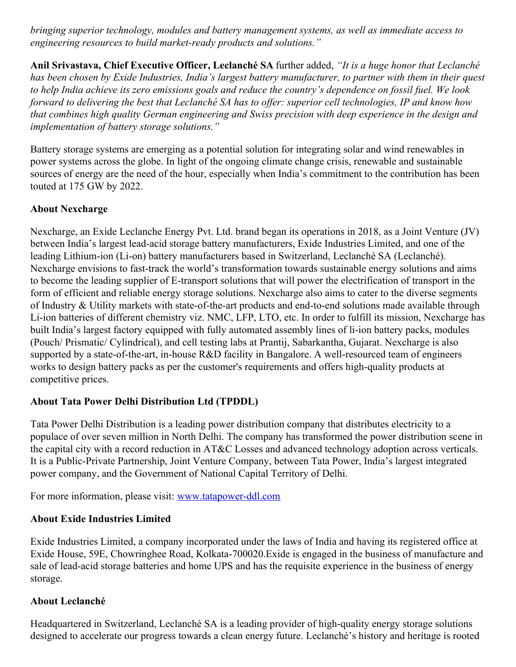*bringing superior technology, modules and battery management systems, as well as immediate access to engineering resources to build market-ready products and solutions."*

**Anil Srivastava, Chief Executive Officer, Leclanché SA** further added, *"It is a huge honor that Leclanché* has been chosen by Exide Industries, India's largest battery manufacturer, to partner with them in their quest to help India achieve its zero emissions goals and reduce the country's dependence on fossil fuel. We look forward to delivering the best that Leclanché SA has to offer: superior cell technologies, IP and know how *that combines high quality German engineering and Swiss precision with deep experience in the design and implementation of battery storage solutions."*

Battery storage systems are emerging as a potential solution for integrating solar and wind renewables in power systems across the globe. In light of the ongoing climate change crisis, renewable and sustainable sources of energy are the need of the hour, especially when India's commitment to the contribution has been touted at 175 GW by 2022.

## **About Nexcharge**

Nexcharge, an Exide Leclanche Energy Pvt. Ltd. brand began its operations in 2018, as a Joint Venture (JV) between India's largest lead-acid storage battery manufacturers, Exide Industries Limited, and one of the leading Lithium-ion (Li-on) battery manufacturers based in Switzerland, Leclanché SA (Leclanché). Nexcharge envisions to fast-track the world's transformation towards sustainable energy solutions and aims to become the leading supplier of E-transport solutions that will power the electrification of transport in the form of efficient and reliable energy storage solutions. Nexcharge also aims to cater to the diverse segments of Industry & Utility markets with state-of-the-art products and end-to-end solutions made available through Li-ion batteries of different chemistry viz. NMC, LFP, LTO, etc. In order to fulfill its mission, Nexcharge has built India's largest factory equipped with fully automated assembly lines of li-ion battery packs, modules (Pouch/ Prismatic/ Cylindrical), and cell testing labs at Prantij, Sabarkantha, Gujarat. Nexcharge is also supported by a state-of-the-art, in-house R&D facility in Bangalore. A well-resourced team of engineers works to design battery packs as per the customer's requirements and offers high-quality products at competitive prices.

## **About Tata Power Delhi Distribution Ltd (TPDDL)**

Tata Power Delhi Distribution is a leading power distribution company that distributes electricity to a populace of over seven million in North Delhi. The company has transformed the power distribution scene in the capital city with a record reduction in AT&C Losses and advanced technology adoption across verticals. It is a Public-Private Partnership, Joint Venture Company, between Tata Power, India's largest integrated power company, and the Government of National Capital Territory of Delhi.

For more information, please visit: [www.tatapower-ddl.com](http://www.tatapower-ddl.com/)

#### **About Exide Industries Limited**

Exide Industries Limited, a company incorporated under the laws of India and having its registered office at Exide House, 59E, Chowringhee Road, Kolkata-700020.Exide is engaged in the business of manufacture and sale of lead-acid storage batteries and home UPS and has the requisite experience in the business of energy storage.

#### **About Leclanché**

Headquartered in Switzerland, Leclanché SA is a leading provider of high-quality energy storage solutions designed to accelerate our progress towards a clean energy future. Leclanché's history and heritage is rooted